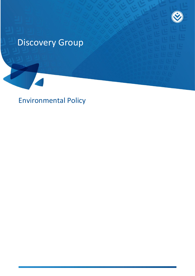

# Discovery Group

Environmental Policy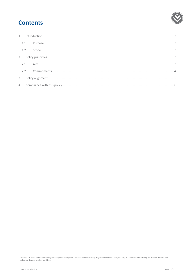## **Contents**

| 1.2 |  |
|-----|--|
|     |  |
|     |  |
|     |  |
|     |  |
|     |  |

Discovery Ltd is the licensed controlling company of the designated Discovery Insurance Group. Registration number: 1999/007789/06. Companies in the Group are licensed insurers and<br>authorised financial services providers.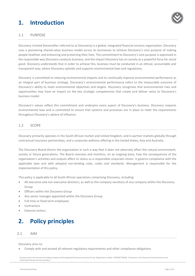## <span id="page-2-0"></span>**1. Introduction**



### <span id="page-2-1"></span>1.1 PURPOSE

Discovery Limited (hereinafter referred to as Discovery) is a global, integrated financial services organisation. Discovery uses a pioneering shared-value business model across its businesses to achieve Discovery's core purpose of making people healthier and enhancing and protecting their lives. The commitment to Discovery's core purpose is expressed in the responsible way Discovery conducts business, and the impact Discovery has on society as a powerful force for social good. Discovery understands that in order to achieve this, business must be conducted in an ethical, accountable and transparent way, where Discovery upholds and supports environmental laws and regulations.

Discovery is committed to reducing environmental impacts and to continually improve environmental performance as an integral part of business strategy. Discovery's environmental performance refers to the measurable outcome of Discovery's ability to meet environmental objectives and targets. Discovery recognises that environmental risks and opportunities may have an impact on the key strategic competencies that create and deliver value to Discovery's business model.

Discovery's values reflect this commitment and underpins every aspect of Discovery's business. Discovery respects environmental laws and is committed to ensure that systems and processes are in place to meet the requirements throughout Discovery's sphere of influence.

### <span id="page-2-2"></span>1.2 SCOPE

Discovery primarily operates in the South African market and United Kingdom, and in partner markets globally through contractual insurance partnerships, and a corporate wellness offering in the United States, Asia and Australia.

The Discovery Board directs the organisation in such a way that it does not adversely affect the natural environment, society or future generations. The Board oversees and monitors, on an ongoing basis, how the consequences of the organisation's activities and outputs affect its status as a responsible corporate citizen. It governs compliance with the applicable laws and with adopted non-binding rules, codes and standards. Management is responsible for the implementation of this policy.

This policy is applicable to all South African operations comprising Discovery, including:

- All executive and non-executive directors, as well as the company secretary of any company within the Discovery Group
- Officers within the Discovery Group
- Any senior manager appointed within the Discovery Group
- Full time or fixed term employees
- Contractors
- <span id="page-2-3"></span>External visitors.

### **2. Policy principles**

#### <span id="page-2-4"></span>2.1 AIM

Discovery aims to:

Comply with and exceed all relevant regulatory requirements and other compliance obligations

Discovery Ltd is the licensed controlling company of the designated Discovery Insurance Group. Registration number: 1999/007789/06. Companies in the Group are licensed insurers and authorised financial services providers.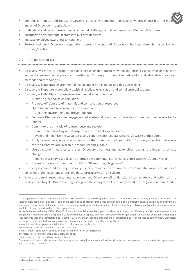- Continually monitor and reduce Discovery's direct environmental impact and, wherever possible, the ind impact of Discovery's supply chain
- Understand and be responsive to environmental challenges and how they impact Discovery's business
- Incorporate environmental factors into business decisions
- Increase employee awareness and training
- Protect and build Discovery's reputation across all aspects of Discovery's business through this policy and Discovery's actions

### <span id="page-3-0"></span>2.2 COMMITMENTS

- Discovery will strive to become the leader in sustainable practices within the business units by maintaining an innovative environmental policy and positioning Discovery on the cutting edge of sustainable ideas, practices, methods and technologies.
- Discovery will integrate environmental management into planning and decision-making.
- Discovery will operate in compliance with all applicable legislation and compliance obligations.
- Discovery will identify and manage environmental aspects in order to:
	- Minimise greenhouse gas emissions
	- Promote efficient use of materials and conservation of resources
	- Optimise and minimise resource consumption
	- Protect the environment and prevent pollution
	- Decrease Discovery's company-generated waste and continue to strive towards sending zero waste to the landfill
	- Commit to the principle of reduce, reuse and recycle
	- Ensure the safe handling and storage of waste on all Discovery's sites
	- Prevent and minimise the waste Discovery generate and regulate Discovery's waste at the source
	- Apply renewable energy alternatives and other green technologies within Discovery's facilities, wherever these alternatives are available, economical and suitable
	- Use adaptation measures to protect Discovery's business and stakeholders against the impact of climate change
	- Influence Discovery's suppliers to improve environmental performance across Discovery's supply chain
	- Ensure Discovery's commitment to ISO 14001 reporting obligations.<sup>1</sup>
- Discovery is committed to using Discovery's sphere of influence to promote environmental awareness and drive behavioural change among all stakeholders, particularly staff and clients.
- Where carbon or resource targets have been set, Discovery will undertake a clear strategy and action plan to achieve such targets. Discovery progress against these targets will be reviewed and the progress communicated.

Discovery Ltd is the licensed controlling company of the designated Discovery Insurance Group. Registration number: 1999/007789/06. Companies in the Group are licensed insurers and authorised financial services providers.

 $\overline{a}$ 

 $1$  The organization should determine and have access to the compliance obligations related to its environmental aspects, and must: determine how these compliance obligations apply; take these compliance obligations into account when establishing, implementing, maintaining and continually improving its environmental management system; maintain documented information about its compliance obligations. Compliance obligations can result in risks and opportunities for the organization.

As per Guidance on the use of ISO 14001:2015 Standard it explains that the organization is to determine, at a sufficiently detailed level, the compliance obligations it identified that are applicable to its environmental aspects, and how they apply to the organization. Compliance obligations include legal requirements that an organization has to comply with any other requirements that the organization has to or chooses to comply with. Mandatory legal requirements related to an organization's environmental aspects can include, if applicable:

a) requirements from governmental entities or other relevant authorities;

b) international, national and local laws and regulations;

c) requirements specified in permits, licenses or other forms of authorization;

d) orders, rules or guidance from regulatory agencies;

e) judgments of courts or administrative tribunals.

Compliance obligations also include other interested party requirements related to its environmental management system which the organization has to or chooses to adopt.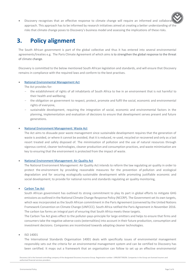• Discovery recognises that an effective response to climate change will require an informed and collabor approach. This approach has to be informed by research initiatives aimed at creating a better understanding of the risks that climate change poses to Discovery's business model and assessing the implications of these risks.

### <span id="page-4-0"></span>**3. Policy alignment**

The South African government is part of the global collective and thus it has entered into several environmental agreements/treaties e.g. The Paris Climate Agreement of which aims is to strengthen the global response to the threat of climate change.

Discovery is committed to the below mentioned South African legislation and standards, and will ensure that Discovery remains in compliance with the required laws and conform to the best practises.

#### [National Environmental Management Act](http://www.gov.za/sites/default/files/gcis_document/201409/a107-98.pdf)

The Act provides for:

- the establishment of rights of all inhabitants of South Africa to live in an environment that is not harmful to their health and wellbeing;
- the obligation on government to respect, protect, promote and fulfil the social, economic and environmental rights of everyone,
- sustainable development, requiring the integration of social, economic and environmental factors in the planning, implementation and evaluation of decisions to ensure that development serves present and future generations.

#### [National Environment Management: Waste Act](http://www.gov.za/sites/default/files/gcis_document/201409/36784rg10008gon634.pdf)

The Act aims to dissuade poor waste management since sustainable development requires that the generation of waste is avoided, or where it cannot be avoided, that it is reduced, re-used, recycled or recovered and only as a last resort treated and safely disposed of. The minimisation of pollution and the use of natural resources through vigorous control, cleaner technologies, cleaner production and consumption practices, and waste minimisation are key to ensuring that the environment is protected from the impact of waste.

#### [National Environment Management: Air Quality Act](http://www.gov.za/sites/default/files/gcis_document/201409/a39-04.pdf)

The National Environment Management: Air Quality Act intends to reform the law regulating air quality in order to protect the environment by providing reasonable measures for the prevention of pollution and ecological degradation and for securing ecologically sustainable development while promoting justifiable economic and social development; to provide for national norms and standards regulating air quality monitoring,

#### [Carbon Tax Act](http://www.gov.za/sites/default/files/gcis_document/201905/4248323-5act15of2019carbontaxact.pdf)

South African government has outlined its strong commitment to play its part in global efforts to mitigate GHG emissions as outlined in the National Climate Change Response Policy (NCCRP). The Government set its own targets, which was incorporated as the South African commitment in the Paris Agreement (convened by the United Nations Framework Convention on Climate Change (UNFCCC). South Africa ratified the Paris Agreement in November 2016. The carbon tax forms an integral part of ensuring that South Africa meets these targets.

The Carbon Tax Act gives effect to the polluter-pays-principle for large emitters and helps to ensure that firms and consumers take the negative adverse costs (externalities) into account in their future production, consumption and investment decisions. Companies are incentivized towards adopting cleaner technologies.

ISO 14001

The International Standards Organisation 14001 deals with specifically issues of environmental management responsibly sets out the criteria for an environmental management system and can be certified to Discovery has been certified. It maps out a framework that an organisation can follow to set up an effective environmental

Discovery Ltd is the licensed controlling company of the designated Discovery Insurance Group. Registration number: 1999/007789/06. Companies in the Group are licensed insurers and authorised financial services providers.